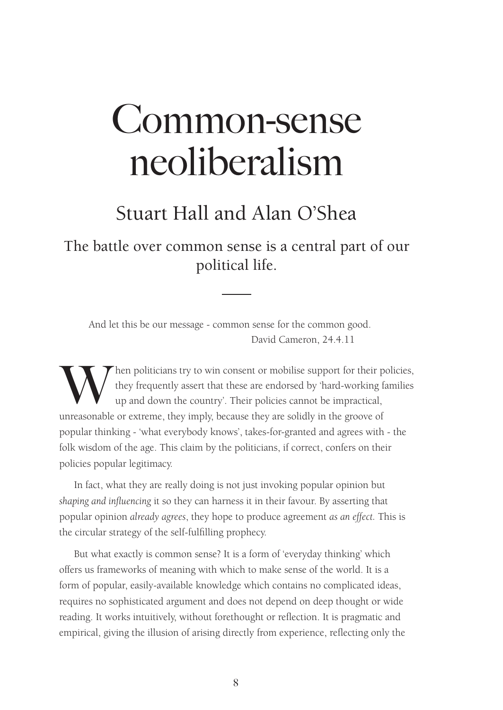# Stuart Hall and Alan O'Shea

The battle over common sense is a central part of our political life.

And let this be our message - common sense for the common good. David Cameron, 24.4.11

When politicians try to win consent or mobilise support for their policies,<br>they frequently assert that these are endorsed by 'hard-working families<br>up and down the country'. Their policies cannot be impractical,<br>urreasona they frequently assert that these are endorsed by 'hard-working families up and down the country'. Their policies cannot be impractical, unreasonable or extreme, they imply, because they are solidly in the groove of popular thinking - 'what everybody knows', takes-for-granted and agrees with - the folk wisdom of the age. This claim by the politicians, if correct, confers on their policies popular legitimacy.

In fact, what they are really doing is not just invoking popular opinion but *shaping and influencing* it so they can harness it in their favour. By asserting that popular opinion *already agrees*, they hope to produce agreement *as an effect.* This is the circular strategy of the self-fulfilling prophecy.

But what exactly is common sense? It is a form of 'everyday thinking' which offers us frameworks of meaning with which to make sense of the world. It is a form of popular, easily-available knowledge which contains no complicated ideas, requires no sophisticated argument and does not depend on deep thought or wide reading. It works intuitively, without forethought or reflection. It is pragmatic and empirical, giving the illusion of arising directly from experience, reflecting only the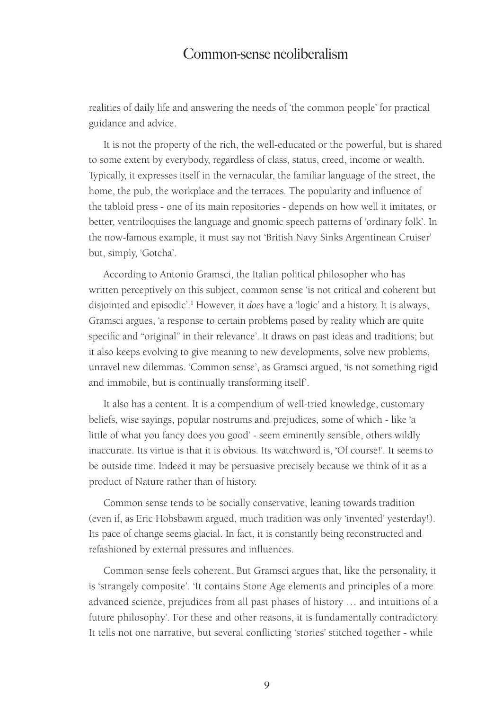realities of daily life and answering the needs of 'the common people' for practical guidance and advice.

It is not the property of the rich, the well-educated or the powerful, but is shared to some extent by everybody, regardless of class, status, creed, income or wealth. Typically, it expresses itself in the vernacular, the familiar language of the street, the home, the pub, the workplace and the terraces. The popularity and influence of the tabloid press - one of its main repositories - depends on how well it imitates, or better, ventriloquises the language and gnomic speech patterns of 'ordinary folk'. In the now-famous example, it must say not 'British Navy Sinks Argentinean Cruiser' but, simply, 'Gotcha'.

According to Antonio Gramsci, the Italian political philosopher who has written perceptively on this subject, common sense 'is not critical and coherent but disjointed and episodic'.<sup>1</sup> However, it *does* have a 'logic' and a history. It is always, Gramsci argues, 'a response to certain problems posed by reality which are quite specific and "original" in their relevance'. It draws on past ideas and traditions; but it also keeps evolving to give meaning to new developments, solve new problems, unravel new dilemmas. 'Common sense', as Gramsci argued, 'is not something rigid and immobile, but is continually transforming itself'.

It also has a content. It is a compendium of well-tried knowledge, customary beliefs, wise sayings, popular nostrums and prejudices, some of which - like 'a little of what you fancy does you good' - seem eminently sensible, others wildly inaccurate. Its virtue is that it is obvious. Its watchword is, 'Of course!'. It seems to be outside time. Indeed it may be persuasive precisely because we think of it as a product of Nature rather than of history.

Common sense tends to be socially conservative, leaning towards tradition (even if, as Eric Hobsbawm argued, much tradition was only 'invented' yesterday!). Its pace of change seems glacial. In fact, it is constantly being reconstructed and refashioned by external pressures and influences.

Common sense feels coherent. But Gramsci argues that, like the personality, it is 'strangely composite'. 'It contains Stone Age elements and principles of a more advanced science, prejudices from all past phases of history … and intuitions of a future philosophy'. For these and other reasons, it is fundamentally contradictory. It tells not one narrative, but several conflicting 'stories' stitched together - while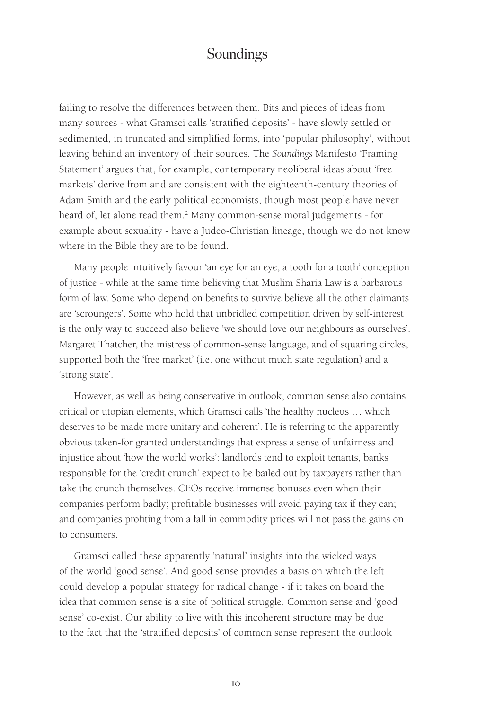failing to resolve the differences between them. Bits and pieces of ideas from many sources - what Gramsci calls 'stratified deposits' - have slowly settled or sedimented, in truncated and simplified forms, into 'popular philosophy', without leaving behind an inventory of their sources. The *Soundings* Manifesto 'Framing Statement' argues that, for example, contemporary neoliberal ideas about 'free markets' derive from and are consistent with the eighteenth-century theories of Adam Smith and the early political economists, though most people have never heard of, let alone read them.<sup>2</sup> Many common-sense moral judgements - for example about sexuality - have a Judeo-Christian lineage, though we do not know where in the Bible they are to be found.

Many people intuitively favour 'an eye for an eye, a tooth for a tooth' conception of justice - while at the same time believing that Muslim Sharia Law is a barbarous form of law. Some who depend on benefits to survive believe all the other claimants are 'scroungers'. Some who hold that unbridled competition driven by self-interest is the only way to succeed also believe 'we should love our neighbours as ourselves'. Margaret Thatcher, the mistress of common-sense language, and of squaring circles, supported both the 'free market' (i.e. one without much state regulation) and a 'strong state'.

However, as well as being conservative in outlook, common sense also contains critical or utopian elements, which Gramsci calls 'the healthy nucleus … which deserves to be made more unitary and coherent'. He is referring to the apparently obvious taken-for granted understandings that express a sense of unfairness and injustice about 'how the world works': landlords tend to exploit tenants, banks responsible for the 'credit crunch' expect to be bailed out by taxpayers rather than take the crunch themselves. CEOs receive immense bonuses even when their companies perform badly; profitable businesses will avoid paying tax if they can; and companies profiting from a fall in commodity prices will not pass the gains on to consumers.

Gramsci called these apparently 'natural' insights into the wicked ways of the world 'good sense'. And good sense provides a basis on which the left could develop a popular strategy for radical change - if it takes on board the idea that common sense is a site of political struggle. Common sense and 'good sense' co-exist. Our ability to live with this incoherent structure may be due to the fact that the 'stratified deposits' of common sense represent the outlook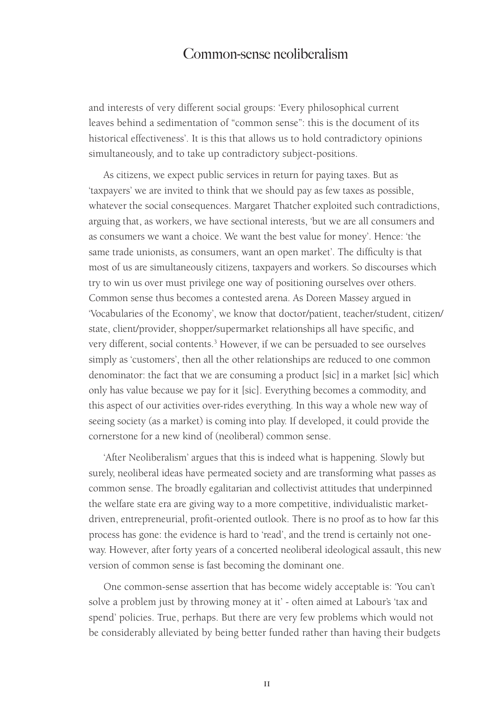and interests of very different social groups: 'Every philosophical current leaves behind a sedimentation of "common sense": this is the document of its historical effectiveness'. It is this that allows us to hold contradictory opinions simultaneously, and to take up contradictory subject-positions.

As citizens, we expect public services in return for paying taxes. But as 'taxpayers' we are invited to think that we should pay as few taxes as possible, whatever the social consequences. Margaret Thatcher exploited such contradictions, arguing that, as workers, we have sectional interests, 'but we are all consumers and as consumers we want a choice. We want the best value for money'. Hence: 'the same trade unionists, as consumers, want an open market'. The difficulty is that most of us are simultaneously citizens, taxpayers and workers. So discourses which try to win us over must privilege one way of positioning ourselves over others. Common sense thus becomes a contested arena. As Doreen Massey argued in 'Vocabularies of the Economy', we know that doctor/patient, teacher/student, citizen/ state, client/provider, shopper/supermarket relationships all have specific, and very different, social contents.<sup>3</sup> However, if we can be persuaded to see ourselves simply as 'customers', then all the other relationships are reduced to one common denominator: the fact that we are consuming a product [sic] in a market [sic] which only has value because we pay for it [sic]. Everything becomes a commodity, and this aspect of our activities over-rides everything. In this way a whole new way of seeing society (as a market) is coming into play. If developed, it could provide the cornerstone for a new kind of (neoliberal) common sense.

'After Neoliberalism' argues that this is indeed what is happening. Slowly but surely, neoliberal ideas have permeated society and are transforming what passes as common sense. The broadly egalitarian and collectivist attitudes that underpinned the welfare state era are giving way to a more competitive, individualistic marketdriven, entrepreneurial, profit-oriented outlook. There is no proof as to how far this process has gone: the evidence is hard to 'read', and the trend is certainly not oneway. However, after forty years of a concerted neoliberal ideological assault, this new version of common sense is fast becoming the dominant one.

One common-sense assertion that has become widely acceptable is: 'You can't solve a problem just by throwing money at it' - often aimed at Labour's 'tax and spend' policies. True, perhaps. But there are very few problems which would not be considerably alleviated by being better funded rather than having their budgets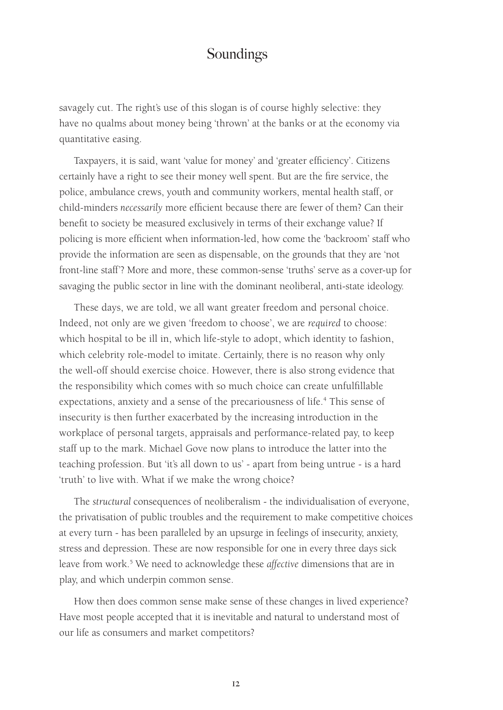savagely cut. The right's use of this slogan is of course highly selective: they have no qualms about money being 'thrown' at the banks or at the economy via quantitative easing.

Taxpayers, it is said, want 'value for money' and 'greater efficiency'. Citizens certainly have a right to see their money well spent. But are the fire service, the police, ambulance crews, youth and community workers, mental health staff, or child-minders *necessarily* more efficient because there are fewer of them? Can their benefit to society be measured exclusively in terms of their exchange value? If policing is more efficient when information-led, how come the 'backroom' staff who provide the information are seen as dispensable, on the grounds that they are 'not front-line staff'? More and more, these common-sense 'truths' serve as a cover-up for savaging the public sector in line with the dominant neoliberal, anti-state ideology.

These days, we are told, we all want greater freedom and personal choice. Indeed, not only are we given 'freedom to choose', we are *required* to choose: which hospital to be ill in, which life-style to adopt, which identity to fashion, which celebrity role-model to imitate. Certainly, there is no reason why only the well-off should exercise choice. However, there is also strong evidence that the responsibility which comes with so much choice can create unfulfillable expectations, anxiety and a sense of the precariousness of life.<sup>4</sup> This sense of insecurity is then further exacerbated by the increasing introduction in the workplace of personal targets, appraisals and performance-related pay, to keep staff up to the mark. Michael Gove now plans to introduce the latter into the teaching profession. But 'it's all down to us' - apart from being untrue - is a hard 'truth' to live with. What if we make the wrong choice?

The *structural* consequences of neoliberalism - the individualisation of everyone, the privatisation of public troubles and the requirement to make competitive choices at every turn - has been paralleled by an upsurge in feelings of insecurity, anxiety, stress and depression. These are now responsible for one in every three days sick leave from work.<sup>5</sup> We need to acknowledge these *affective* dimensions that are in play, and which underpin common sense.

How then does common sense make sense of these changes in lived experience? Have most people accepted that it is inevitable and natural to understand most of our life as consumers and market competitors?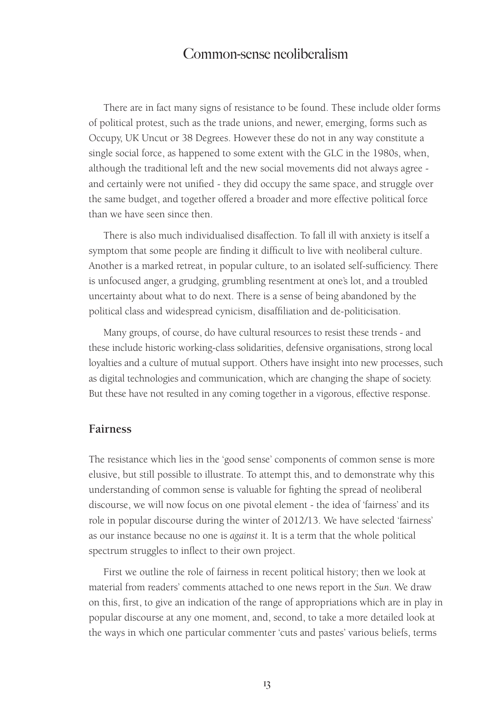There are in fact many signs of resistance to be found. These include older forms of political protest, such as the trade unions, and newer, emerging, forms such as Occupy, UK Uncut or 38 Degrees. However these do not in any way constitute a single social force, as happened to some extent with the GLC in the 1980s, when, although the traditional left and the new social movements did not always agree and certainly were not unified - they did occupy the same space, and struggle over the same budget, and together offered a broader and more effective political force than we have seen since then.

There is also much individualised disaffection. To fall ill with anxiety is itself a symptom that some people are finding it difficult to live with neoliberal culture. Another is a marked retreat, in popular culture, to an isolated self-sufficiency. There is unfocused anger, a grudging, grumbling resentment at one's lot, and a troubled uncertainty about what to do next. There is a sense of being abandoned by the political class and widespread cynicism, disaffiliation and de-politicisation.

Many groups, of course, do have cultural resources to resist these trends - and these include historic working-class solidarities, defensive organisations, strong local loyalties and a culture of mutual support. Others have insight into new processes, such as digital technologies and communication, which are changing the shape of society. But these have not resulted in any coming together in a vigorous, effective response.

#### **Fairness**

The resistance which lies in the 'good sense' components of common sense is more elusive, but still possible to illustrate. To attempt this, and to demonstrate why this understanding of common sense is valuable for fighting the spread of neoliberal discourse, we will now focus on one pivotal element - the idea of 'fairness' and its role in popular discourse during the winter of 2012/13. We have selected 'fairness' as our instance because no one is *against* it. It is a term that the whole political spectrum struggles to inflect to their own project.

First we outline the role of fairness in recent political history; then we look at material from readers' comments attached to one news report in the *Sun*. We draw on this, first, to give an indication of the range of appropriations which are in play in popular discourse at any one moment, and, second, to take a more detailed look at the ways in which one particular commenter 'cuts and pastes' various beliefs, terms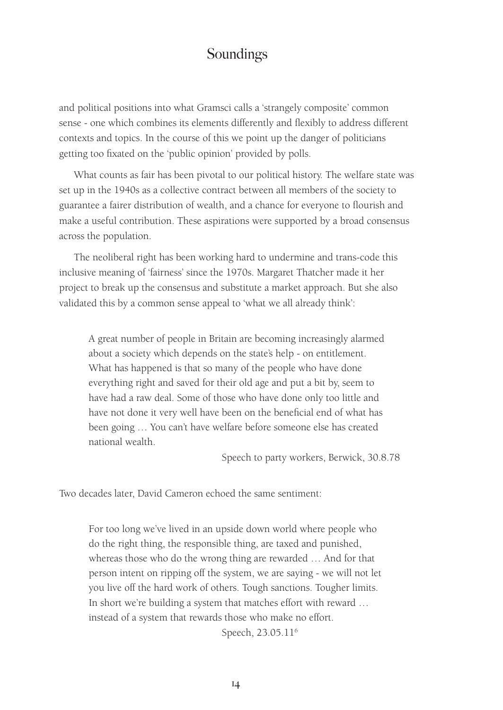and political positions into what Gramsci calls a 'strangely composite' common sense - one which combines its elements differently and flexibly to address different contexts and topics. In the course of this we point up the danger of politicians getting too fixated on the 'public opinion' provided by polls.

What counts as fair has been pivotal to our political history. The welfare state was set up in the 1940s as a collective contract between all members of the society to guarantee a fairer distribution of wealth, and a chance for everyone to flourish and make a useful contribution. These aspirations were supported by a broad consensus across the population.

The neoliberal right has been working hard to undermine and trans-code this inclusive meaning of 'fairness' since the 1970s. Margaret Thatcher made it her project to break up the consensus and substitute a market approach. But she also validated this by a common sense appeal to 'what we all already think':

A great number of people in Britain are becoming increasingly alarmed about a society which depends on the state's help - on entitlement. What has happened is that so many of the people who have done everything right and saved for their old age and put a bit by, seem to have had a raw deal. Some of those who have done only too little and have not done it very well have been on the beneficial end of what has been going … You can't have welfare before someone else has created national wealth.

Speech to party workers, Berwick, 30.8.78

Two decades later, David Cameron echoed the same sentiment:

For too long we've lived in an upside down world where people who do the right thing, the responsible thing, are taxed and punished, whereas those who do the wrong thing are rewarded … And for that person intent on ripping off the system, we are saying - we will not let you live off the hard work of others. Tough sanctions. Tougher limits. In short we're building a system that matches effort with reward … instead of a system that rewards those who make no effort.

Speech, 23.05.116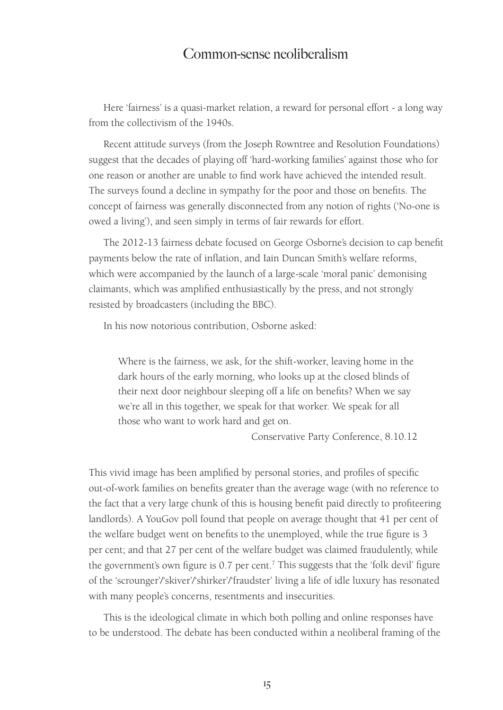Here 'fairness' is a quasi-market relation, a reward for personal effort - a long way from the collectivism of the 1940s.

Recent attitude surveys (from the Joseph Rowntree and Resolution Foundations) suggest that the decades of playing off 'hard-working families' against those who for one reason or another are unable to find work have achieved the intended result. The surveys found a decline in sympathy for the poor and those on benefits. The concept of fairness was generally disconnected from any notion of rights ('No-one is owed a living'), and seen simply in terms of fair rewards for effort.

The 2012-13 fairness debate focused on George Osborne's decision to cap benefit payments below the rate of inflation, and Iain Duncan Smith's welfare reforms, which were accompanied by the launch of a large-scale 'moral panic' demonising claimants, which was amplified enthusiastically by the press, and not strongly resisted by broadcasters (including the BBC).

In his now notorious contribution, Osborne asked:

Where is the fairness, we ask, for the shift-worker, leaving home in the dark hours of the early morning, who looks up at the closed blinds of their next door neighbour sleeping off a life on benefits? When we say we're all in this together, we speak for that worker. We speak for all those who want to work hard and get on.

Conservative Party Conference, 8.10.12

This vivid image has been amplified by personal stories, and profiles of specific out-of-work families on benefits greater than the average wage (with no reference to the fact that a very large chunk of this is housing benefit paid directly to profiteering landlords). A YouGov poll found that people on average thought that 41 per cent of the welfare budget went on benefits to the unemployed, while the true figure is 3 per cent; and that 27 per cent of the welfare budget was claimed fraudulently, while the government's own figure is  $0.7$  per cent.<sup>7</sup> This suggests that the 'folk devil' figure of the 'scrounger'/'skiver'/'shirker'/'fraudster' living a life of idle luxury has resonated with many people's concerns, resentments and insecurities.

This is the ideological climate in which both polling and online responses have to be understood. The debate has been conducted within a neoliberal framing of the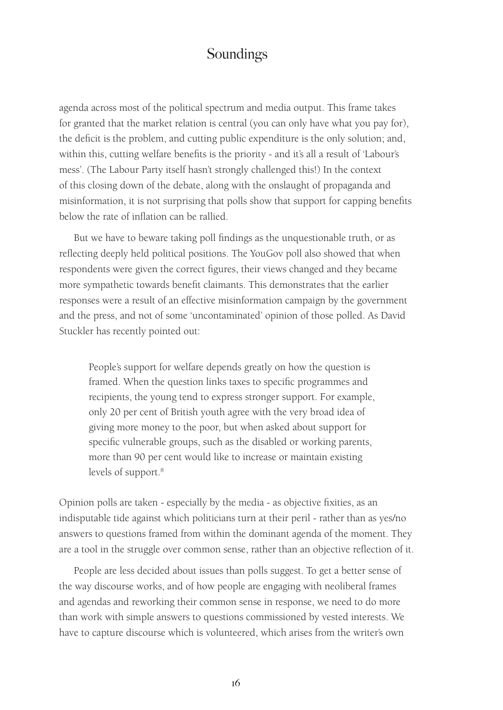agenda across most of the political spectrum and media output. This frame takes for granted that the market relation is central (you can only have what you pay for), the deficit is the problem, and cutting public expenditure is the only solution; and, within this, cutting welfare benefits is the priority - and it's all a result of 'Labour's mess'. (The Labour Party itself hasn't strongly challenged this!) In the context of this closing down of the debate, along with the onslaught of propaganda and misinformation, it is not surprising that polls show that support for capping benefits below the rate of inflation can be rallied.

But we have to beware taking poll findings as the unquestionable truth, or as reflecting deeply held political positions. The YouGov poll also showed that when respondents were given the correct figures, their views changed and they became more sympathetic towards benefit claimants. This demonstrates that the earlier responses were a result of an effective misinformation campaign by the government and the press, and not of some 'uncontaminated' opinion of those polled. As David Stuckler has recently pointed out:

People's support for welfare depends greatly on how the question is framed. When the question links taxes to specific programmes and recipients, the young tend to express stronger support. For example, only 20 per cent of British youth agree with the very broad idea of giving more money to the poor, but when asked about support for specific vulnerable groups, such as the disabled or working parents, more than 90 per cent would like to increase or maintain existing levels of support.<sup>8</sup>

Opinion polls are taken - especially by the media - as objective fixities, as an indisputable tide against which politicians turn at their peril - rather than as yes/no answers to questions framed from within the dominant agenda of the moment. They are a tool in the struggle over common sense, rather than an objective reflection of it.

People are less decided about issues than polls suggest. To get a better sense of the way discourse works, and of how people are engaging with neoliberal frames and agendas and reworking their common sense in response, we need to do more than work with simple answers to questions commissioned by vested interests. We have to capture discourse which is volunteered, which arises from the writer's own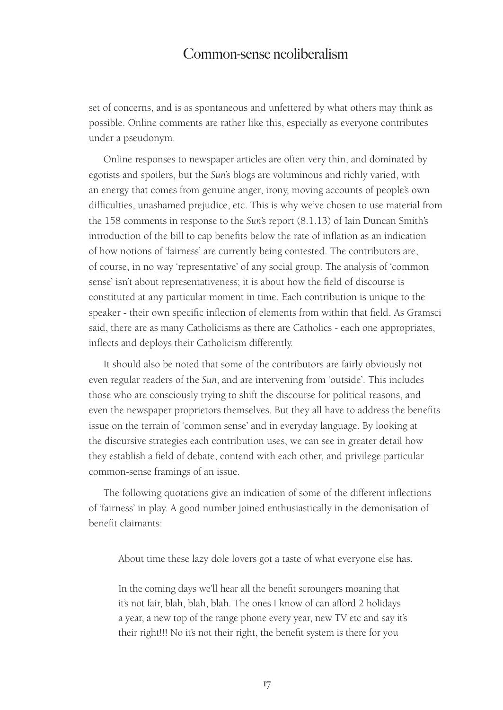set of concerns, and is as spontaneous and unfettered by what others may think as possible. Online comments are rather like this, especially as everyone contributes under a pseudonym.

Online responses to newspaper articles are often very thin, and dominated by egotists and spoilers, but the *Sun*'s blogs are voluminous and richly varied, with an energy that comes from genuine anger, irony, moving accounts of people's own difficulties, unashamed prejudice, etc. This is why we've chosen to use material from the 158 comments in response to the *Sun*'s report (8.1.13) of Iain Duncan Smith's introduction of the bill to cap benefits below the rate of inflation as an indication of how notions of 'fairness' are currently being contested. The contributors are, of course, in no way 'representative' of any social group. The analysis of 'common sense' isn't about representativeness; it is about how the field of discourse is constituted at any particular moment in time. Each contribution is unique to the speaker - their own specific inflection of elements from within that field. As Gramsci said, there are as many Catholicisms as there are Catholics - each one appropriates, inflects and deploys their Catholicism differently.

It should also be noted that some of the contributors are fairly obviously not even regular readers of the *Sun*, and are intervening from 'outside'. This includes those who are consciously trying to shift the discourse for political reasons, and even the newspaper proprietors themselves. But they all have to address the benefits issue on the terrain of 'common sense' and in everyday language. By looking at the discursive strategies each contribution uses, we can see in greater detail how they establish a field of debate, contend with each other, and privilege particular common-sense framings of an issue.

The following quotations give an indication of some of the different inflections of 'fairness' in play. A good number joined enthusiastically in the demonisation of benefit claimants:

About time these lazy dole lovers got a taste of what everyone else has.

In the coming days we'll hear all the benefit scroungers moaning that it's not fair, blah, blah, blah. The ones I know of can afford 2 holidays a year, a new top of the range phone every year, new TV etc and say it's their right!!! No it's not their right, the benefit system is there for you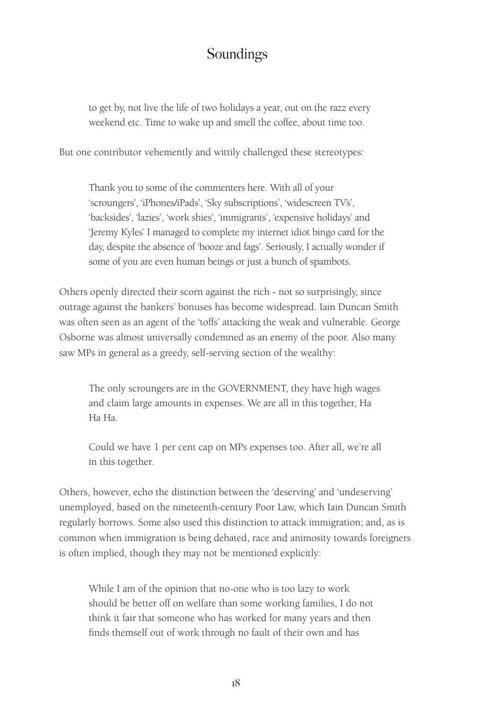to get by, not live the life of two holidays a year, out on the razz every weekend etc. Time to wake up and smell the coffee, about time too.

But one contributor vehemently and wittily challenged these stereotypes:

Thank you to some of the commenters here. With all of your 'scroungers', 'iPhones/iPads', 'Sky subscriptions', 'widescreen TV's', 'backsides', 'lazies', 'work shies', 'immigrants', 'expensive holidays' and 'Jeremy Kyles' I managed to complete my internet idiot bingo card for the day, despite the absence of 'booze and fags'. Seriously, I actually wonder if some of you are even human beings or just a bunch of spambots.

Others openly directed their scorn against the rich - not so surprisingly, since outrage against the bankers' bonuses has become widespread. Iain Duncan Smith was often seen as an agent of the 'toffs' attacking the weak and vulnerable. George Osborne was almost universally condemned as an enemy of the poor. Also many saw MPs in general as a greedy, self-serving section of the wealthy:

The only scroungers are in the GOVERNMENT, they have high wages and claim large amounts in expenses. We are all in this together, Ha Ha Ha.

Could we have 1 per cent cap on MPs expenses too. After all, we're all in this together.

Others, however, echo the distinction between the 'deserving' and 'undeserving' unemployed, based on the nineteenth-century Poor Law, which Iain Duncan Smith regularly borrows. Some also used this distinction to attack immigration; and, as is common when immigration is being debated, race and animosity towards foreigners is often implied, though they may not be mentioned explicitly:

While I am of the opinion that no-one who is too lazy to work should be better off on welfare than some working families, I do not think it fair that someone who has worked for many years and then finds themself out of work through no fault of their own and has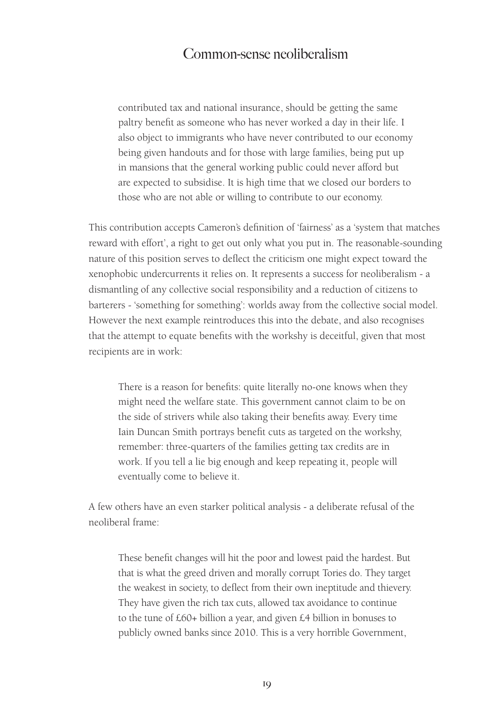contributed tax and national insurance, should be getting the same paltry benefit as someone who has never worked a day in their life. I also object to immigrants who have never contributed to our economy being given handouts and for those with large families, being put up in mansions that the general working public could never afford but are expected to subsidise. It is high time that we closed our borders to those who are not able or willing to contribute to our economy.

This contribution accepts Cameron's definition of 'fairness' as a 'system that matches reward with effort', a right to get out only what you put in. The reasonable-sounding nature of this position serves to deflect the criticism one might expect toward the xenophobic undercurrents it relies on. It represents a success for neoliberalism - a dismantling of any collective social responsibility and a reduction of citizens to barterers - 'something for something': worlds away from the collective social model. However the next example reintroduces this into the debate, and also recognises that the attempt to equate benefits with the workshy is deceitful, given that most recipients are in work:

There is a reason for benefits: quite literally no-one knows when they might need the welfare state. This government cannot claim to be on the side of strivers while also taking their benefits away. Every time Iain Duncan Smith portrays benefit cuts as targeted on the workshy, remember: three-quarters of the families getting tax credits are in work. If you tell a lie big enough and keep repeating it, people will eventually come to believe it.

A few others have an even starker political analysis - a deliberate refusal of the neoliberal frame:

These benefit changes will hit the poor and lowest paid the hardest. But that is what the greed driven and morally corrupt Tories do. They target the weakest in society, to deflect from their own ineptitude and thievery. They have given the rich tax cuts, allowed tax avoidance to continue to the tune of £60+ billion a year, and given £4 billion in bonuses to publicly owned banks since 2010. This is a very horrible Government,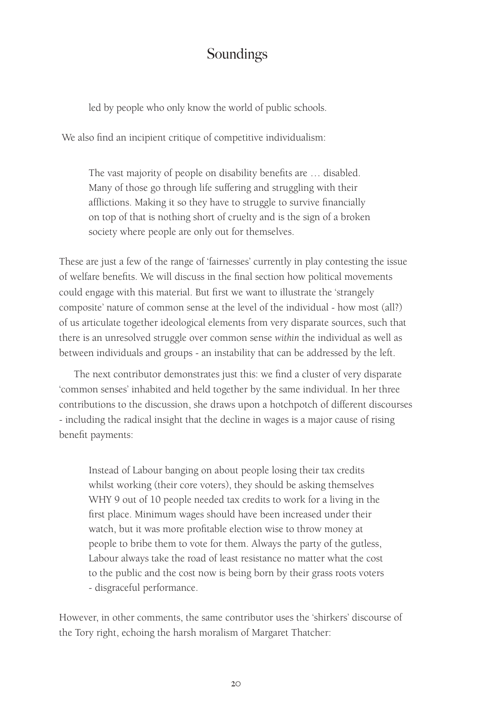led by people who only know the world of public schools.

We also find an incipient critique of competitive individualism:

The vast majority of people on disability benefits are … disabled. Many of those go through life suffering and struggling with their afflictions. Making it so they have to struggle to survive financially on top of that is nothing short of cruelty and is the sign of a broken society where people are only out for themselves.

These are just a few of the range of 'fairnesses' currently in play contesting the issue of welfare benefits. We will discuss in the final section how political movements could engage with this material. But first we want to illustrate the 'strangely composite' nature of common sense at the level of the individual - how most (all?) of us articulate together ideological elements from very disparate sources, such that there is an unresolved struggle over common sense *within* the individual as well as between individuals and groups - an instability that can be addressed by the left.

The next contributor demonstrates just this: we find a cluster of very disparate 'common senses' inhabited and held together by the same individual. In her three contributions to the discussion, she draws upon a hotchpotch of different discourses - including the radical insight that the decline in wages is a major cause of rising benefit payments:

Instead of Labour banging on about people losing their tax credits whilst working (their core voters), they should be asking themselves WHY 9 out of 10 people needed tax credits to work for a living in the first place. Minimum wages should have been increased under their watch, but it was more profitable election wise to throw money at people to bribe them to vote for them. Always the party of the gutless, Labour always take the road of least resistance no matter what the cost to the public and the cost now is being born by their grass roots voters - disgraceful performance.

However, in other comments, the same contributor uses the 'shirkers' discourse of the Tory right, echoing the harsh moralism of Margaret Thatcher: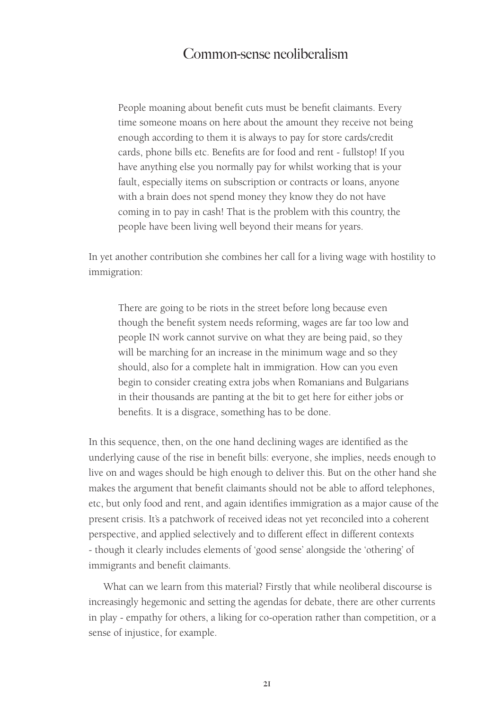People moaning about benefit cuts must be benefit claimants. Every time someone moans on here about the amount they receive not being enough according to them it is always to pay for store cards/credit cards, phone bills etc. Benefits are for food and rent - fullstop! If you have anything else you normally pay for whilst working that is your fault, especially items on subscription or contracts or loans, anyone with a brain does not spend money they know they do not have coming in to pay in cash! That is the problem with this country, the people have been living well beyond their means for years.

In yet another contribution she combines her call for a living wage with hostility to immigration:

There are going to be riots in the street before long because even though the benefit system needs reforming, wages are far too low and people IN work cannot survive on what they are being paid, so they will be marching for an increase in the minimum wage and so they should, also for a complete halt in immigration. How can you even begin to consider creating extra jobs when Romanians and Bulgarians in their thousands are panting at the bit to get here for either jobs or benefits. It is a disgrace, something has to be done.

In this sequence, then, on the one hand declining wages are identified as the underlying cause of the rise in benefit bills: everyone, she implies, needs enough to live on and wages should be high enough to deliver this. But on the other hand she makes the argument that benefit claimants should not be able to afford telephones, etc, but only food and rent, and again identifies immigration as a major cause of the present crisis. It's a patchwork of received ideas not yet reconciled into a coherent perspective, and applied selectively and to different effect in different contexts - though it clearly includes elements of 'good sense' alongside the 'othering' of immigrants and benefit claimants.

What can we learn from this material? Firstly that while neoliberal discourse is increasingly hegemonic and setting the agendas for debate, there are other currents in play - empathy for others, a liking for co-operation rather than competition, or a sense of injustice, for example.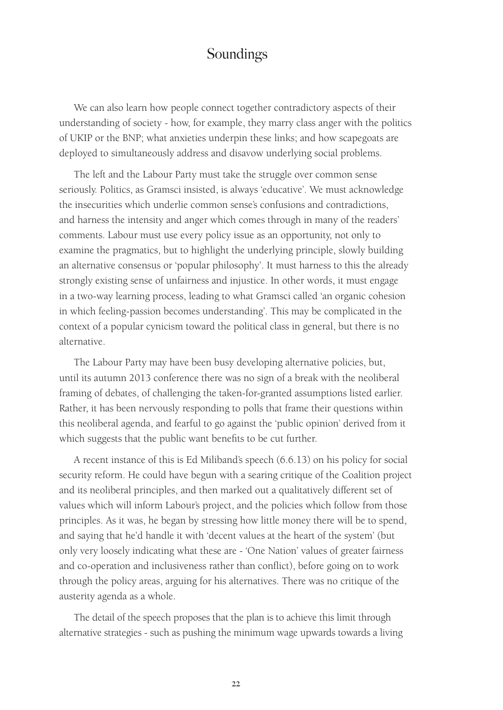We can also learn how people connect together contradictory aspects of their understanding of society - how, for example, they marry class anger with the politics of UKIP or the BNP; what anxieties underpin these links; and how scapegoats are deployed to simultaneously address and disavow underlying social problems.

The left and the Labour Party must take the struggle over common sense seriously. Politics, as Gramsci insisted, is always 'educative'. We must acknowledge the insecurities which underlie common sense's confusions and contradictions, and harness the intensity and anger which comes through in many of the readers' comments. Labour must use every policy issue as an opportunity, not only to examine the pragmatics, but to highlight the underlying principle, slowly building an alternative consensus or 'popular philosophy'. It must harness to this the already strongly existing sense of unfairness and injustice. In other words, it must engage in a two-way learning process, leading to what Gramsci called 'an organic cohesion in which feeling-passion becomes understanding'. This may be complicated in the context of a popular cynicism toward the political class in general, but there is no alternative.

The Labour Party may have been busy developing alternative policies, but, until its autumn 2013 conference there was no sign of a break with the neoliberal framing of debates, of challenging the taken-for-granted assumptions listed earlier. Rather, it has been nervously responding to polls that frame their questions within this neoliberal agenda, and fearful to go against the 'public opinion' derived from it which suggests that the public want benefits to be cut further.

A recent instance of this is Ed Miliband's speech (6.6.13) on his policy for social security reform. He could have begun with a searing critique of the Coalition project and its neoliberal principles, and then marked out a qualitatively different set of values which will inform Labour's project, and the policies which follow from those principles. As it was, he began by stressing how little money there will be to spend, and saying that he'd handle it with 'decent values at the heart of the system' (but only very loosely indicating what these are - 'One Nation' values of greater fairness and co-operation and inclusiveness rather than conflict), before going on to work through the policy areas, arguing for his alternatives. There was no critique of the austerity agenda as a whole.

The detail of the speech proposes that the plan is to achieve this limit through alternative strategies - such as pushing the minimum wage upwards towards a living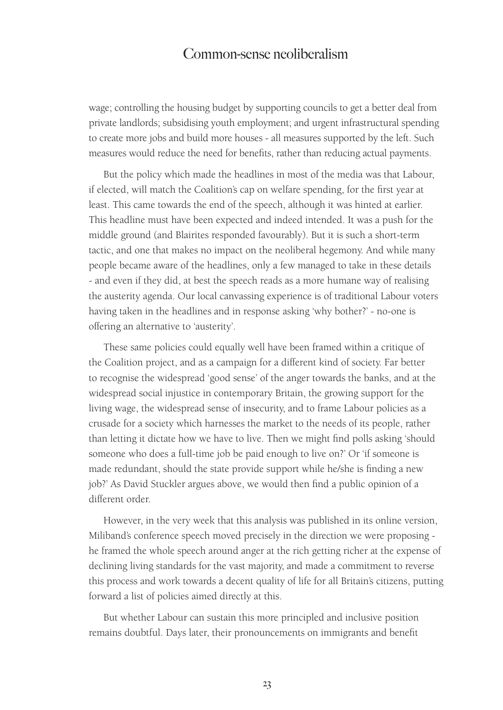wage; controlling the housing budget by supporting councils to get a better deal from private landlords; subsidising youth employment; and urgent infrastructural spending to create more jobs and build more houses - all measures supported by the left. Such measures would reduce the need for benefits, rather than reducing actual payments.

But the policy which made the headlines in most of the media was that Labour, if elected, will match the Coalition's cap on welfare spending, for the first year at least. This came towards the end of the speech, although it was hinted at earlier. This headline must have been expected and indeed intended. It was a push for the middle ground (and Blairites responded favourably). But it is such a short-term tactic, and one that makes no impact on the neoliberal hegemony. And while many people became aware of the headlines, only a few managed to take in these details - and even if they did, at best the speech reads as a more humane way of realising the austerity agenda. Our local canvassing experience is of traditional Labour voters having taken in the headlines and in response asking 'why bother?' - no-one is offering an alternative to 'austerity'.

These same policies could equally well have been framed within a critique of the Coalition project, and as a campaign for a different kind of society. Far better to recognise the widespread 'good sense' of the anger towards the banks, and at the widespread social injustice in contemporary Britain, the growing support for the living wage, the widespread sense of insecurity, and to frame Labour policies as a crusade for a society which harnesses the market to the needs of its people, rather than letting it dictate how we have to live. Then we might find polls asking 'should someone who does a full-time job be paid enough to live on?' Or 'if someone is made redundant, should the state provide support while he/she is finding a new job?' As David Stuckler argues above, we would then find a public opinion of a different order.

However, in the very week that this analysis was published in its online version, Miliband's conference speech moved precisely in the direction we were proposing he framed the whole speech around anger at the rich getting richer at the expense of declining living standards for the vast majority, and made a commitment to reverse this process and work towards a decent quality of life for all Britain's citizens, putting forward a list of policies aimed directly at this.

But whether Labour can sustain this more principled and inclusive position remains doubtful. Days later, their pronouncements on immigrants and benefit